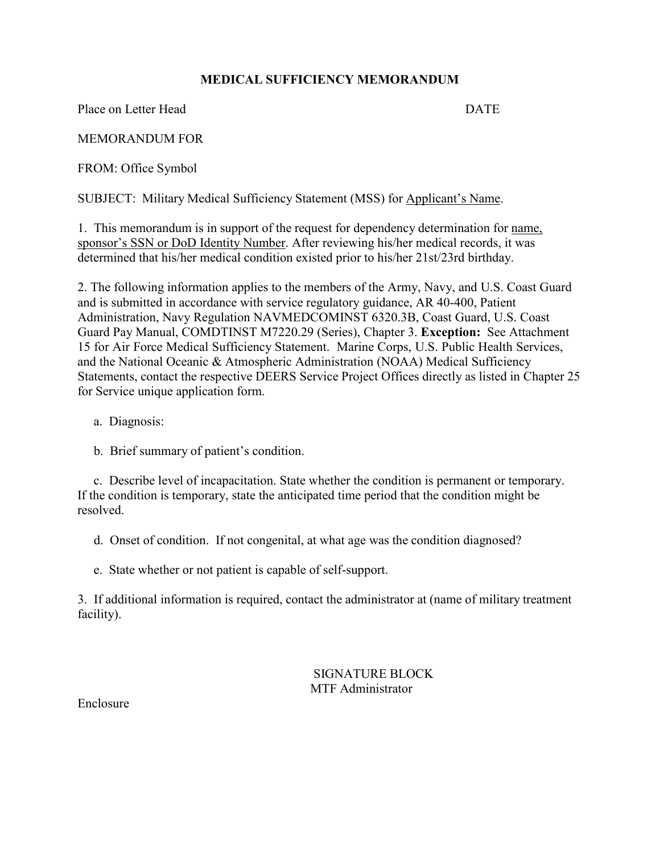## **MEDICAL SUFFICIENCY MEMORANDUM**

Place on Letter Head DATE

MEMORANDUM FOR

FROM: Office Symbol

SUBJECT: Military Medical Sufficiency Statement (MSS) for Applicant's Name.

1. This memorandum is in support of the request for dependency determination for name, sponsor's SSN or DoD Identity Number. After reviewing his/her medical records, it was determined that his/her medical condition existed prior to his/her 21st/23rd birthday.

2. The following information applies to the members of the Army, Navy, and U.S. Coast Guard and is submitted in accordance with service regulatory guidance, AR 40-400, Patient Administration, Navy Regulation NAVMEDCOMINST 6320.3B, Coast Guard, U.S. Coast Guard Pay Manual, COMDTINST M7220.29 (Series), Chapter 3. **Exception:** See Attachment 15 for Air Force Medical Sufficiency Statement. Marine Corps, U.S. Public Health Services, and the National Oceanic & Atmospheric Administration (NOAA) Medical Sufficiency Statements, contact the respective DEERS Service Project Offices directly as listed in Chapter 25 for Service unique application form.

- a. Diagnosis:
- b. Brief summary of patient's condition.

c. Describe level of incapacitation. State whether the condition is permanent or temporary. If the condition is temporary, state the anticipated time period that the condition might be resolved.

- d. Onset of condition. If not congenital, at what age was the condition diagnosed?
- e. State whether or not patient is capable of self-support.

3. If additional information is required, contact the administrator at (name of military treatment facility).

> SIGNATURE BLOCK MTF Administrator

Enclosure